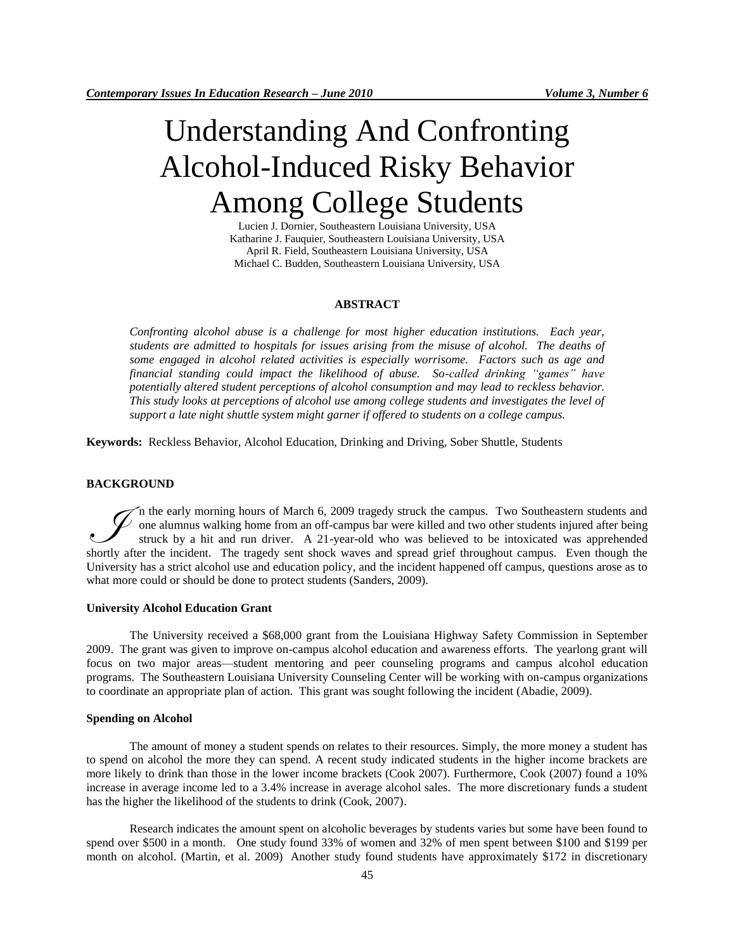# Understanding And Confronting Alcohol-Induced Risky Behavior Among College Students

Lucien J. Dornier, Southeastern Louisiana University, USA Katharine J. Fauquier, Southeastern Louisiana University, USA April R. Field, Southeastern Louisiana University, USA Michael C. Budden, Southeastern Louisiana University, USA

# **ABSTRACT**

*Confronting alcohol abuse is a challenge for most higher education institutions. Each year, students are admitted to hospitals for issues arising from the misuse of alcohol. The deaths of some engaged in alcohol related activities is especially worrisome. Factors such as age and financial standing could impact the likelihood of abuse. So-called drinking "games" have potentially altered student perceptions of alcohol consumption and may lead to reckless behavior. This study looks at perceptions of alcohol use among college students and investigates the level of support a late night shuttle system might garner if offered to students on a college campus.*

**Keywords:** Reckless Behavior, Alcohol Education, Drinking and Driving, Sober Shuttle, Students

# **BACKGROUND**

n the early morning hours of March 6, 2009 tragedy struck the campus. Two Southeastern students and one alumnus walking home from an off-campus bar were killed and two other students injured after being struck by a hit and run driver. A 21-year-old who was believed to be intoxicated was apprehended The early morning hours of March 6, 2009 tragedy struck the campus. Two Southeastern students and one alumnus walking home from an off-campus bar were killed and two other students injured after being struck by a hit and r University has a strict alcohol use and education policy, and the incident happened off campus, questions arose as to what more could or should be done to protect students (Sanders, 2009).

#### **University Alcohol Education Grant**

The University received a \$68,000 grant from the Louisiana Highway Safety Commission in September 2009. The grant was given to improve on-campus alcohol education and awareness efforts. The yearlong grant will focus on two major areas—student mentoring and peer counseling programs and campus alcohol education programs. The Southeastern Louisiana University Counseling Center will be working with on-campus organizations to coordinate an appropriate plan of action. This grant was sought following the incident (Abadie, 2009).

#### **Spending on Alcohol**

The amount of money a student spends on relates to their resources. Simply, the more money a student has to spend on alcohol the more they can spend. A recent study indicated students in the higher income brackets are more likely to drink than those in the lower income brackets (Cook 2007). Furthermore, Cook (2007) found a 10% increase in average income led to a 3.4% increase in average alcohol sales. The more discretionary funds a student has the higher the likelihood of the students to drink (Cook, 2007).

Research indicates the amount spent on alcoholic beverages by students varies but some have been found to spend over \$500 in a month. One study found 33% of women and 32% of men spent between \$100 and \$199 per month on alcohol. (Martin, et al. 2009) Another study found students have approximately \$172 in discretionary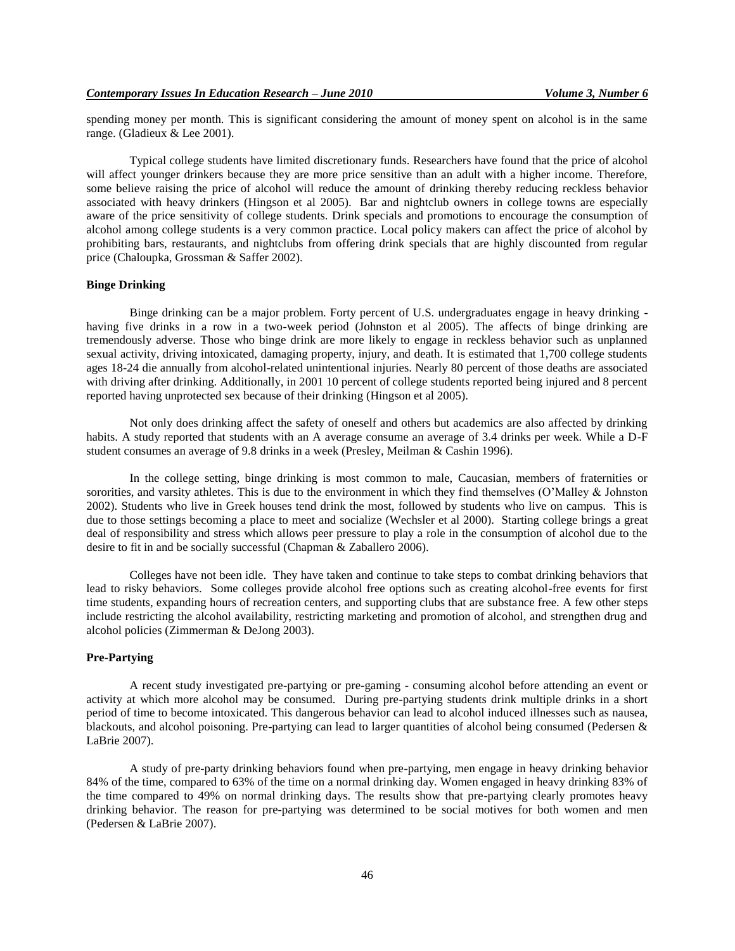spending money per month. This is significant considering the amount of money spent on alcohol is in the same range. (Gladieux & Lee 2001).

Typical college students have limited discretionary funds. Researchers have found that the price of alcohol will affect younger drinkers because they are more price sensitive than an adult with a higher income. Therefore, some believe raising the price of alcohol will reduce the amount of drinking thereby reducing reckless behavior associated with heavy drinkers (Hingson et al 2005). Bar and nightclub owners in college towns are especially aware of the price sensitivity of college students. Drink specials and promotions to encourage the consumption of alcohol among college students is a very common practice. Local policy makers can affect the price of alcohol by prohibiting bars, restaurants, and nightclubs from offering drink specials that are highly discounted from regular price (Chaloupka, Grossman & Saffer 2002).

#### **Binge Drinking**

Binge drinking can be a major problem. Forty percent of U.S. undergraduates engage in heavy drinking having five drinks in a row in a two-week period (Johnston et al 2005). The affects of binge drinking are tremendously adverse. Those who binge drink are more likely to engage in reckless behavior such as unplanned sexual activity, driving intoxicated, damaging property, injury, and death. It is estimated that 1,700 college students ages 18-24 die annually from alcohol-related unintentional injuries. Nearly 80 percent of those deaths are associated with driving after drinking. Additionally, in 2001 10 percent of college students reported being injured and 8 percent reported having unprotected sex because of their drinking (Hingson et al 2005).

Not only does drinking affect the safety of oneself and others but academics are also affected by drinking habits. A study reported that students with an A average consume an average of 3.4 drinks per week. While a D-F student consumes an average of 9.8 drinks in a week (Presley, Meilman & Cashin 1996).

In the college setting, binge drinking is most common to male, Caucasian, members of fraternities or sororities, and varsity athletes. This is due to the environment in which they find themselves (O'Malley  $\&$  Johnston 2002). Students who live in Greek houses tend drink the most, followed by students who live on campus. This is due to those settings becoming a place to meet and socialize (Wechsler et al 2000). Starting college brings a great deal of responsibility and stress which allows peer pressure to play a role in the consumption of alcohol due to the desire to fit in and be socially successful (Chapman & Zaballero 2006).

Colleges have not been idle. They have taken and continue to take steps to combat drinking behaviors that lead to risky behaviors. Some colleges provide alcohol free options such as creating alcohol-free events for first time students, expanding hours of recreation centers, and supporting clubs that are substance free. A few other steps include restricting the alcohol availability, restricting marketing and promotion of alcohol, and strengthen drug and alcohol policies (Zimmerman & DeJong 2003).

## **Pre-Partying**

A recent study investigated pre-partying or pre-gaming - consuming alcohol before attending an event or activity at which more alcohol may be consumed. During pre-partying students drink multiple drinks in a short period of time to become intoxicated. This dangerous behavior can lead to alcohol induced illnesses such as nausea, blackouts, and alcohol poisoning. Pre-partying can lead to larger quantities of alcohol being consumed (Pedersen & LaBrie 2007).

A study of pre-party drinking behaviors found when pre-partying, men engage in heavy drinking behavior 84% of the time, compared to 63% of the time on a normal drinking day. Women engaged in heavy drinking 83% of the time compared to 49% on normal drinking days. The results show that pre-partying clearly promotes heavy drinking behavior. The reason for pre-partying was determined to be social motives for both women and men (Pedersen & LaBrie 2007).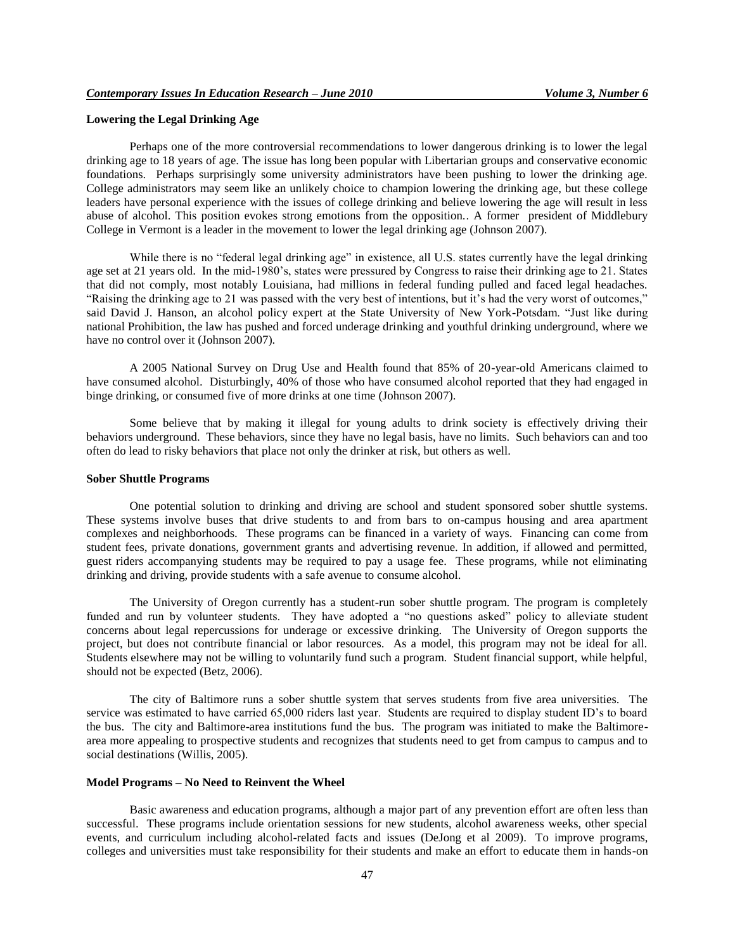## **Lowering the Legal Drinking Age**

Perhaps one of the more controversial recommendations to lower dangerous drinking is to lower the legal drinking age to 18 years of age. The issue has long been popular with Libertarian groups and conservative economic foundations. Perhaps surprisingly some university administrators have been pushing to lower the drinking age. College administrators may seem like an unlikely choice to champion lowering the drinking age, but these college leaders have personal experience with the issues of college drinking and believe lowering the age will result in less abuse of alcohol. This position evokes strong emotions from the opposition.. A former president of Middlebury College in Vermont is a leader in the movement to lower the legal drinking age (Johnson 2007).

While there is no "federal legal drinking age" in existence, all U.S. states currently have the legal drinking age set at 21 years old. In the mid-1980's, states were pressured by Congress to raise their drinking age to 21. States that did not comply, most notably Louisiana, had millions in federal funding pulled and faced legal headaches. "Raising the drinking age to 21 was passed with the very best of intentions, but it's had the very worst of outcomes," said David J. Hanson, an alcohol policy expert at the State University of New York-Potsdam. "Just like during national Prohibition, the law has pushed and forced underage drinking and youthful drinking underground, where we have no control over it (Johnson 2007).

A 2005 National Survey on Drug Use and Health found that 85% of 20-year-old Americans claimed to have consumed alcohol. Disturbingly, 40% of those who have consumed alcohol reported that they had engaged in binge drinking, or consumed five of more drinks at one time (Johnson 2007).

Some believe that by making it illegal for young adults to drink society is effectively driving their behaviors underground. These behaviors, since they have no legal basis, have no limits. Such behaviors can and too often do lead to risky behaviors that place not only the drinker at risk, but others as well.

#### **Sober Shuttle Programs**

One potential solution to drinking and driving are school and student sponsored sober shuttle systems. These systems involve buses that drive students to and from bars to on-campus housing and area apartment complexes and neighborhoods. These programs can be financed in a variety of ways. Financing can come from student fees, private donations, government grants and advertising revenue. In addition, if allowed and permitted, guest riders accompanying students may be required to pay a usage fee. These programs, while not eliminating drinking and driving, provide students with a safe avenue to consume alcohol.

The University of Oregon currently has a student-run sober shuttle program. The program is completely funded and run by volunteer students. They have adopted a "no questions asked" policy to alleviate student concerns about legal repercussions for underage or excessive drinking. The University of Oregon supports the project, but does not contribute financial or labor resources. As a model, this program may not be ideal for all. Students elsewhere may not be willing to voluntarily fund such a program. Student financial support, while helpful, should not be expected (Betz, 2006).

The city of Baltimore runs a sober shuttle system that serves students from five area universities. The service was estimated to have carried 65,000 riders last year. Students are required to display student ID's to board the bus. The city and Baltimore-area institutions fund the bus. The program was initiated to make the Baltimorearea more appealing to prospective students and recognizes that students need to get from campus to campus and to social destinations (Willis, 2005).

#### **Model Programs – No Need to Reinvent the Wheel**

Basic awareness and education programs, although a major part of any prevention effort are often less than successful. These programs include orientation sessions for new students, alcohol awareness weeks, other special events, and curriculum including alcohol-related facts and issues (DeJong et al 2009). To improve programs, colleges and universities must take responsibility for their students and make an effort to educate them in hands-on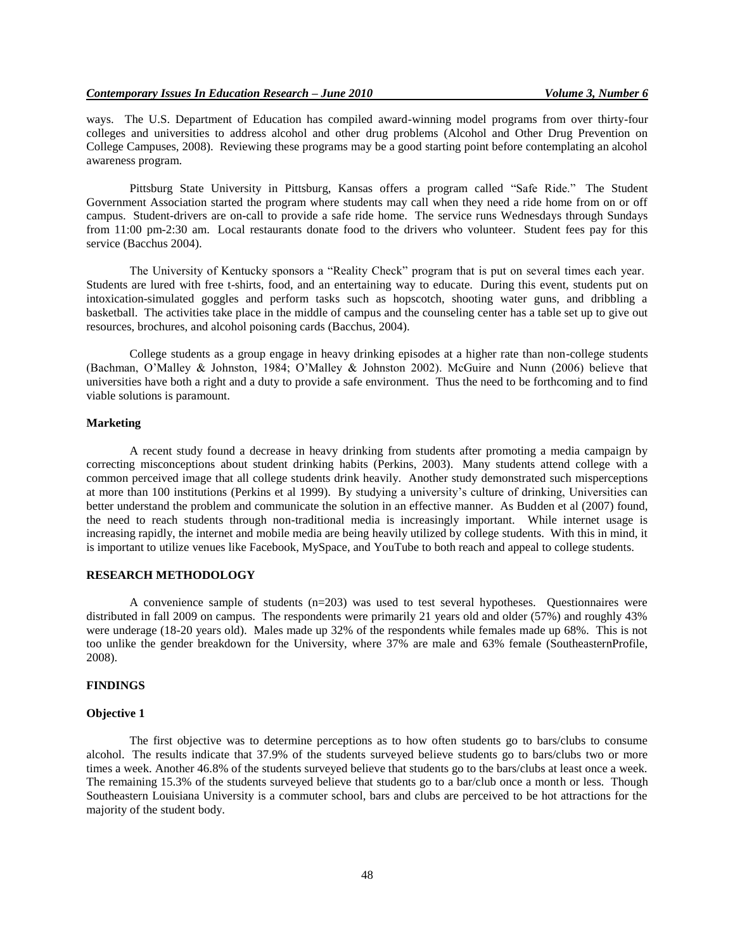ways. The U.S. Department of Education has compiled award-winning model programs from over thirty-four colleges and universities to address alcohol and other drug problems (Alcohol and Other Drug Prevention on College Campuses, 2008). Reviewing these programs may be a good starting point before contemplating an alcohol awareness program.

Pittsburg State University in Pittsburg, Kansas offers a program called "Safe Ride." The Student Government Association started the program where students may call when they need a ride home from on or off campus. Student-drivers are on-call to provide a safe ride home. The service runs Wednesdays through Sundays from 11:00 pm-2:30 am. Local restaurants donate food to the drivers who volunteer. Student fees pay for this service (Bacchus 2004).

The University of Kentucky sponsors a "Reality Check" program that is put on several times each year. Students are lured with free t-shirts, food, and an entertaining way to educate. During this event, students put on intoxication-simulated goggles and perform tasks such as hopscotch, shooting water guns, and dribbling a basketball. The activities take place in the middle of campus and the counseling center has a table set up to give out resources, brochures, and alcohol poisoning cards (Bacchus, 2004).

College students as a group engage in heavy drinking episodes at a higher rate than non-college students (Bachman, O"Malley & Johnston, 1984; O"Malley & Johnston 2002). McGuire and Nunn (2006) believe that universities have both a right and a duty to provide a safe environment. Thus the need to be forthcoming and to find viable solutions is paramount.

# **Marketing**

A recent study found a decrease in heavy drinking from students after promoting a media campaign by correcting misconceptions about student drinking habits (Perkins, 2003). Many students attend college with a common perceived image that all college students drink heavily. Another study demonstrated such misperceptions at more than 100 institutions (Perkins et al 1999). By studying a university"s culture of drinking, Universities can better understand the problem and communicate the solution in an effective manner. As Budden et al (2007) found, the need to reach students through non-traditional media is increasingly important. While internet usage is increasing rapidly, the internet and mobile media are being heavily utilized by college students. With this in mind, it is important to utilize venues like Facebook, MySpace, and YouTube to both reach and appeal to college students.

# **RESEARCH METHODOLOGY**

A convenience sample of students (n=203) was used to test several hypotheses. Questionnaires were distributed in fall 2009 on campus. The respondents were primarily 21 years old and older (57%) and roughly 43% were underage (18-20 years old). Males made up 32% of the respondents while females made up 68%. This is not too unlike the gender breakdown for the University, where 37% are male and 63% female (SoutheasternProfile, 2008).

## **FINDINGS**

# **Objective 1**

The first objective was to determine perceptions as to how often students go to bars/clubs to consume alcohol. The results indicate that 37.9% of the students surveyed believe students go to bars/clubs two or more times a week. Another 46.8% of the students surveyed believe that students go to the bars/clubs at least once a week. The remaining 15.3% of the students surveyed believe that students go to a bar/club once a month or less. Though Southeastern Louisiana University is a commuter school, bars and clubs are perceived to be hot attractions for the majority of the student body.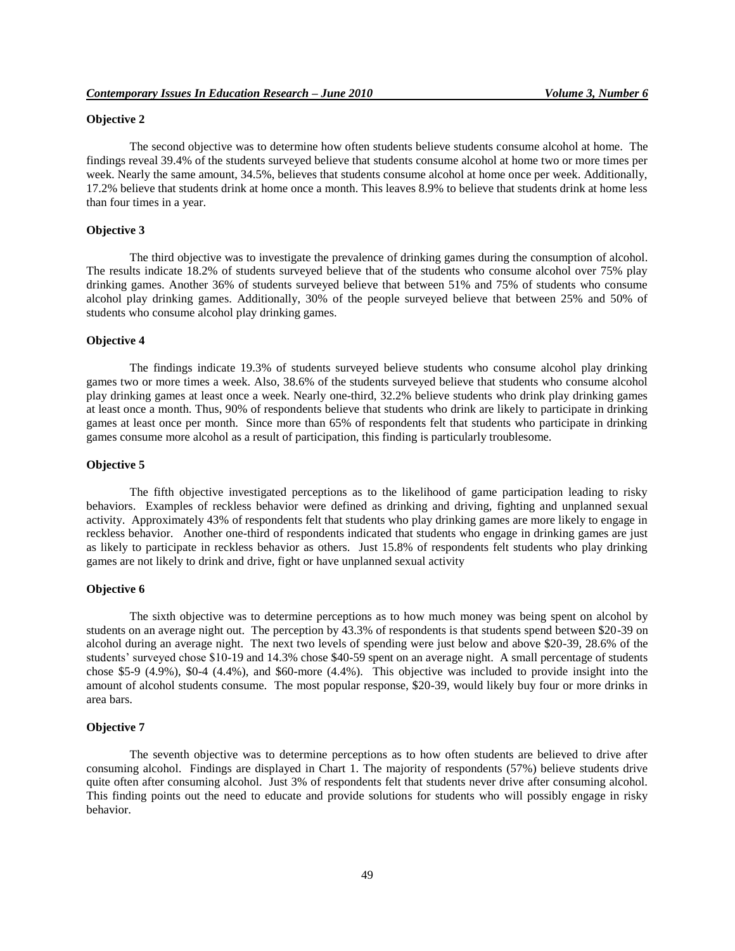## **Objective 2**

The second objective was to determine how often students believe students consume alcohol at home. The findings reveal 39.4% of the students surveyed believe that students consume alcohol at home two or more times per week. Nearly the same amount, 34.5%, believes that students consume alcohol at home once per week. Additionally, 17.2% believe that students drink at home once a month. This leaves 8.9% to believe that students drink at home less than four times in a year.

#### **Objective 3**

The third objective was to investigate the prevalence of drinking games during the consumption of alcohol. The results indicate 18.2% of students surveyed believe that of the students who consume alcohol over 75% play drinking games. Another 36% of students surveyed believe that between 51% and 75% of students who consume alcohol play drinking games. Additionally, 30% of the people surveyed believe that between 25% and 50% of students who consume alcohol play drinking games.

## **Objective 4**

The findings indicate 19.3% of students surveyed believe students who consume alcohol play drinking games two or more times a week. Also, 38.6% of the students surveyed believe that students who consume alcohol play drinking games at least once a week. Nearly one-third, 32.2% believe students who drink play drinking games at least once a month. Thus, 90% of respondents believe that students who drink are likely to participate in drinking games at least once per month. Since more than 65% of respondents felt that students who participate in drinking games consume more alcohol as a result of participation, this finding is particularly troublesome.

#### **Objective 5**

The fifth objective investigated perceptions as to the likelihood of game participation leading to risky behaviors. Examples of reckless behavior were defined as drinking and driving, fighting and unplanned sexual activity. Approximately 43% of respondents felt that students who play drinking games are more likely to engage in reckless behavior. Another one-third of respondents indicated that students who engage in drinking games are just as likely to participate in reckless behavior as others. Just 15.8% of respondents felt students who play drinking games are not likely to drink and drive, fight or have unplanned sexual activity

# **Objective 6**

The sixth objective was to determine perceptions as to how much money was being spent on alcohol by students on an average night out. The perception by 43.3% of respondents is that students spend between \$20-39 on alcohol during an average night. The next two levels of spending were just below and above \$20-39, 28.6% of the students' surveyed chose \$10-19 and 14.3% chose \$40-59 spent on an average night. A small percentage of students chose \$5-9 (4.9%), \$0-4 (4.4%), and \$60-more (4.4%). This objective was included to provide insight into the amount of alcohol students consume. The most popular response, \$20-39, would likely buy four or more drinks in area bars.

#### **Objective 7**

The seventh objective was to determine perceptions as to how often students are believed to drive after consuming alcohol. Findings are displayed in Chart 1. The majority of respondents (57%) believe students drive quite often after consuming alcohol. Just 3% of respondents felt that students never drive after consuming alcohol. This finding points out the need to educate and provide solutions for students who will possibly engage in risky behavior.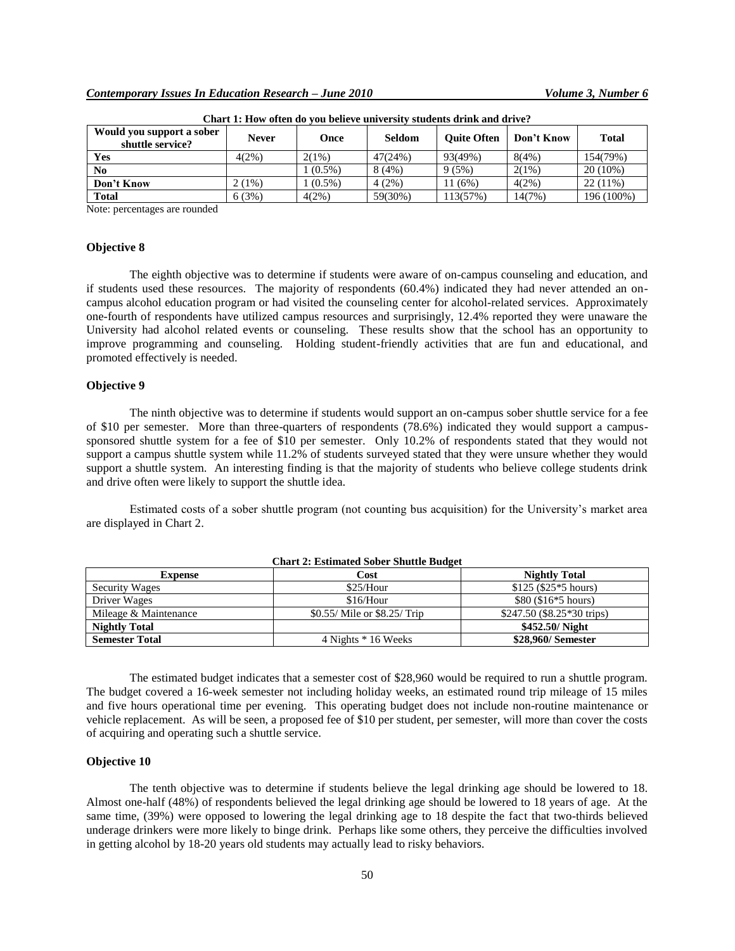| Would you support a sober<br>shuttle service? | <b>Never</b> | Once      | Seldom  | <b>Ouite Often</b> | Don't Know | <b>Total</b> |
|-----------------------------------------------|--------------|-----------|---------|--------------------|------------|--------------|
| Yes                                           | $4(2\%)$     | 2(1%)     | 47(24%) | 93(49%)            | 8(4%)      | 154(79%)     |
| N <sub>0</sub>                                |              | $(0.5\%)$ | 8(4%)   | 9(5%)              | $2(1\%)$   | $20(10\%)$   |
| Don't Know                                    | 2(1%)        | $(0.5\%)$ | 4(2%)   | (6%)<br>11         | 4(2%)      | $22(11\%)$   |
| <b>Total</b>                                  | 6(3%)        | 4(2%)     | 59(30%) | 113(57%)           | 14(7%)     | 196 (100%)   |

**Chart 1: How often do you believe university students drink and drive?**

Note: percentages are rounded

#### **Objective 8**

The eighth objective was to determine if students were aware of on-campus counseling and education, and if students used these resources. The majority of respondents (60.4%) indicated they had never attended an oncampus alcohol education program or had visited the counseling center for alcohol-related services. Approximately one-fourth of respondents have utilized campus resources and surprisingly, 12.4% reported they were unaware the University had alcohol related events or counseling. These results show that the school has an opportunity to improve programming and counseling. Holding student-friendly activities that are fun and educational, and promoted effectively is needed.

#### **Objective 9**

The ninth objective was to determine if students would support an on-campus sober shuttle service for a fee of \$10 per semester. More than three-quarters of respondents (78.6%) indicated they would support a campussponsored shuttle system for a fee of \$10 per semester. Only 10.2% of respondents stated that they would not support a campus shuttle system while 11.2% of students surveyed stated that they were unsure whether they would support a shuttle system. An interesting finding is that the majority of students who believe college students drink and drive often were likely to support the shuttle idea.

Estimated costs of a sober shuttle program (not counting bus acquisition) for the University"s market area are displayed in Chart 2.

| <b>Chart 2: Estimated Sober Shuttle Budget</b> |                              |                                    |  |  |
|------------------------------------------------|------------------------------|------------------------------------|--|--|
| <b>Expense</b>                                 | Cost                         | <b>Nightly Total</b>               |  |  |
| <b>Security Wages</b>                          | \$25/Hour                    | $$125$ (\$25 <sup>*</sup> 5 hours) |  |  |
| Driver Wages                                   | \$16/Hour                    | $$80 ($16*5 hours)$                |  |  |
| Mileage & Maintenance                          | \$0.55/ Mile or \$8.25/ Trip | $$247.50$ (\$8.25 * 30 trips)      |  |  |
| <b>Nightly Total</b>                           |                              | \$452.50/ Night                    |  |  |
| <b>Semester Total</b>                          | 4 Nights * 16 Weeks          | \$28,960/ Semester                 |  |  |

The estimated budget indicates that a semester cost of \$28,960 would be required to run a shuttle program. The budget covered a 16-week semester not including holiday weeks, an estimated round trip mileage of 15 miles and five hours operational time per evening. This operating budget does not include non-routine maintenance or vehicle replacement. As will be seen, a proposed fee of \$10 per student, per semester, will more than cover the costs of acquiring and operating such a shuttle service.

## **Objective 10**

The tenth objective was to determine if students believe the legal drinking age should be lowered to 18. Almost one-half (48%) of respondents believed the legal drinking age should be lowered to 18 years of age. At the same time, (39%) were opposed to lowering the legal drinking age to 18 despite the fact that two-thirds believed underage drinkers were more likely to binge drink. Perhaps like some others, they perceive the difficulties involved in getting alcohol by 18-20 years old students may actually lead to risky behaviors.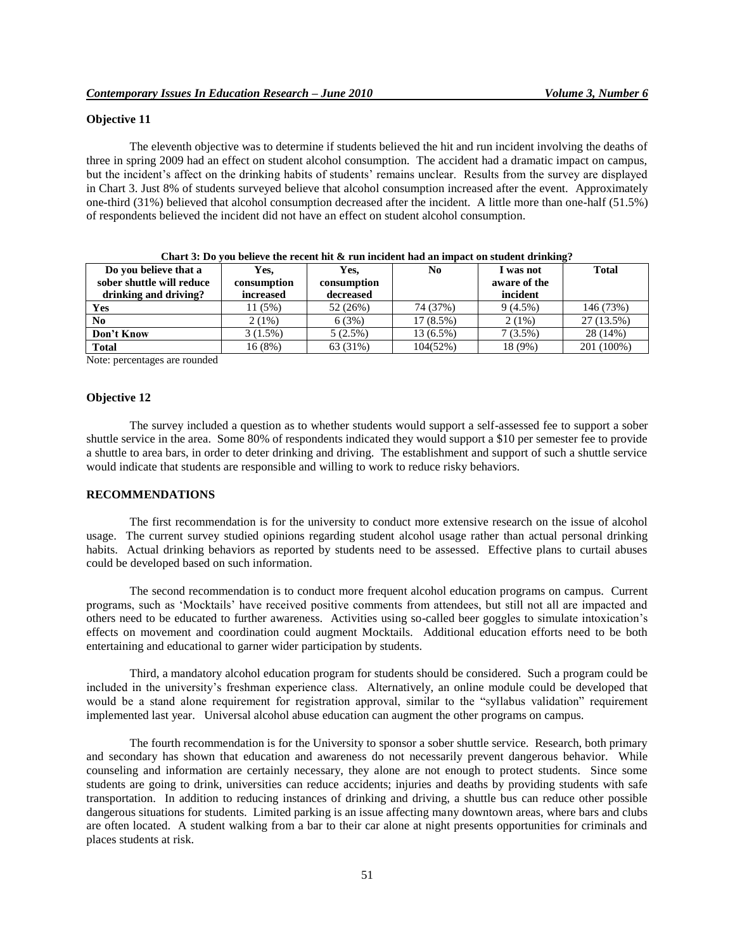# **Objective 11**

The eleventh objective was to determine if students believed the hit and run incident involving the deaths of three in spring 2009 had an effect on student alcohol consumption. The accident had a dramatic impact on campus, but the incident's affect on the drinking habits of students' remains unclear. Results from the survey are displayed in Chart 3. Just 8% of students surveyed believe that alcohol consumption increased after the event. Approximately one-third (31%) believed that alcohol consumption decreased after the incident. A little more than one-half (51.5%) of respondents believed the incident did not have an effect on student alcohol consumption.

| Do you believe that a     | Yes,        | Yes.        | N <sub>0</sub> | I was not    | <b>Total</b> |
|---------------------------|-------------|-------------|----------------|--------------|--------------|
| sober shuttle will reduce | consumption | consumption |                | aware of the |              |
| drinking and driving?     | increased   | decreased   |                | incident     |              |
| Yes                       | 11 (5%)     | 52 (26%)    | 74 (37%)       | $9(4.5\%)$   | 146 (73%)    |
| N <sub>0</sub>            | 2(1%)       | 6(3%)       | $17(8.5\%)$    | 2(1%)        | 27 (13.5%)   |
| Don't Know                | 3(1.5%)     | $5(2.5\%)$  | 13 (6.5%)      | $7(3.5\%)$   | 28 (14%)     |
| <b>Total</b>              | 16 (8%)     | 63 (31%)    | 104(52%)       | 18 (9%)      | 201 (100%)   |

|  |  | Chart 3: Do you believe the recent hit $\&$ run incident had an impact on student drinking? |  |
|--|--|---------------------------------------------------------------------------------------------|--|
|  |  |                                                                                             |  |

Note: percentages are rounded

#### **Objective 12**

The survey included a question as to whether students would support a self-assessed fee to support a sober shuttle service in the area. Some 80% of respondents indicated they would support a \$10 per semester fee to provide a shuttle to area bars, in order to deter drinking and driving. The establishment and support of such a shuttle service would indicate that students are responsible and willing to work to reduce risky behaviors.

#### **RECOMMENDATIONS**

The first recommendation is for the university to conduct more extensive research on the issue of alcohol usage. The current survey studied opinions regarding student alcohol usage rather than actual personal drinking habits. Actual drinking behaviors as reported by students need to be assessed. Effective plans to curtail abuses could be developed based on such information.

The second recommendation is to conduct more frequent alcohol education programs on campus. Current programs, such as "Mocktails" have received positive comments from attendees, but still not all are impacted and others need to be educated to further awareness. Activities using so-called beer goggles to simulate intoxication"s effects on movement and coordination could augment Mocktails. Additional education efforts need to be both entertaining and educational to garner wider participation by students.

Third, a mandatory alcohol education program for students should be considered. Such a program could be included in the university"s freshman experience class. Alternatively, an online module could be developed that would be a stand alone requirement for registration approval, similar to the "syllabus validation" requirement implemented last year. Universal alcohol abuse education can augment the other programs on campus.

The fourth recommendation is for the University to sponsor a sober shuttle service. Research, both primary and secondary has shown that education and awareness do not necessarily prevent dangerous behavior. While counseling and information are certainly necessary, they alone are not enough to protect students. Since some students are going to drink, universities can reduce accidents; injuries and deaths by providing students with safe transportation. In addition to reducing instances of drinking and driving, a shuttle bus can reduce other possible dangerous situations for students. Limited parking is an issue affecting many downtown areas, where bars and clubs are often located. A student walking from a bar to their car alone at night presents opportunities for criminals and places students at risk.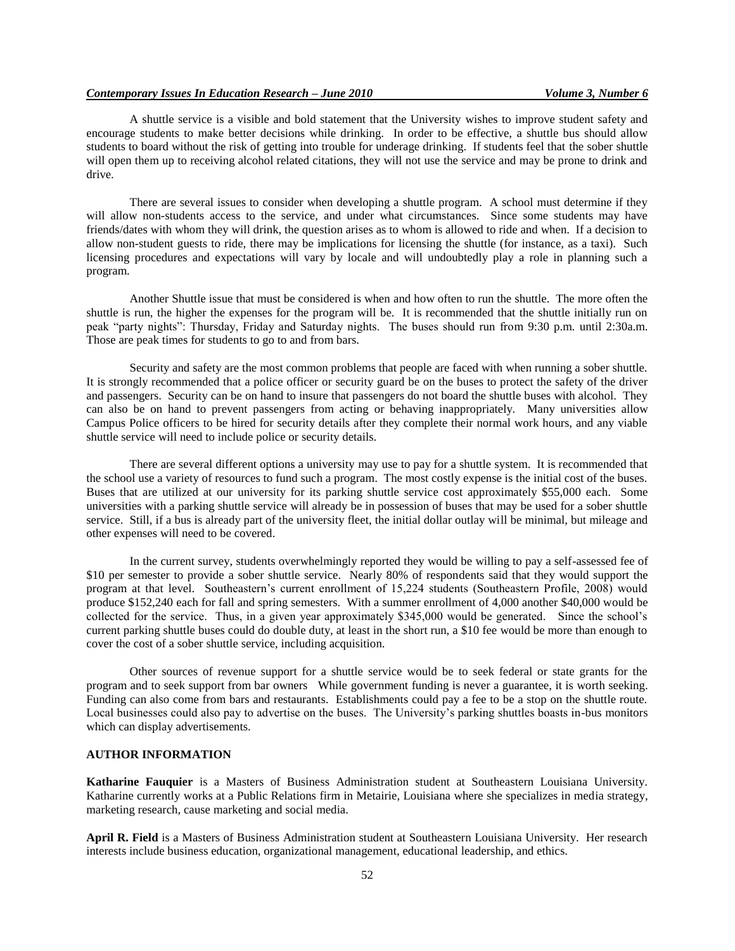A shuttle service is a visible and bold statement that the University wishes to improve student safety and encourage students to make better decisions while drinking. In order to be effective, a shuttle bus should allow students to board without the risk of getting into trouble for underage drinking. If students feel that the sober shuttle will open them up to receiving alcohol related citations, they will not use the service and may be prone to drink and drive.

There are several issues to consider when developing a shuttle program. A school must determine if they will allow non-students access to the service, and under what circumstances. Since some students may have friends/dates with whom they will drink, the question arises as to whom is allowed to ride and when. If a decision to allow non-student guests to ride, there may be implications for licensing the shuttle (for instance, as a taxi). Such licensing procedures and expectations will vary by locale and will undoubtedly play a role in planning such a program.

Another Shuttle issue that must be considered is when and how often to run the shuttle. The more often the shuttle is run, the higher the expenses for the program will be. It is recommended that the shuttle initially run on peak "party nights": Thursday, Friday and Saturday nights. The buses should run from 9:30 p.m. until 2:30a.m. Those are peak times for students to go to and from bars.

Security and safety are the most common problems that people are faced with when running a sober shuttle. It is strongly recommended that a police officer or security guard be on the buses to protect the safety of the driver and passengers. Security can be on hand to insure that passengers do not board the shuttle buses with alcohol. They can also be on hand to prevent passengers from acting or behaving inappropriately. Many universities allow Campus Police officers to be hired for security details after they complete their normal work hours, and any viable shuttle service will need to include police or security details.

There are several different options a university may use to pay for a shuttle system. It is recommended that the school use a variety of resources to fund such a program. The most costly expense is the initial cost of the buses. Buses that are utilized at our university for its parking shuttle service cost approximately \$55,000 each. Some universities with a parking shuttle service will already be in possession of buses that may be used for a sober shuttle service. Still, if a bus is already part of the university fleet, the initial dollar outlay will be minimal, but mileage and other expenses will need to be covered.

In the current survey, students overwhelmingly reported they would be willing to pay a self-assessed fee of \$10 per semester to provide a sober shuttle service. Nearly 80% of respondents said that they would support the program at that level. Southeastern"s current enrollment of 15,224 students (Southeastern Profile, 2008) would produce \$152,240 each for fall and spring semesters. With a summer enrollment of 4,000 another \$40,000 would be collected for the service. Thus, in a given year approximately \$345,000 would be generated. Since the school"s current parking shuttle buses could do double duty, at least in the short run, a \$10 fee would be more than enough to cover the cost of a sober shuttle service, including acquisition.

Other sources of revenue support for a shuttle service would be to seek federal or state grants for the program and to seek support from bar owners While government funding is never a guarantee, it is worth seeking. Funding can also come from bars and restaurants. Establishments could pay a fee to be a stop on the shuttle route. Local businesses could also pay to advertise on the buses. The University"s parking shuttles boasts in-bus monitors which can display advertisements.

# **AUTHOR INFORMATION**

**Katharine Fauquier** is a Masters of Business Administration student at Southeastern Louisiana University. Katharine currently works at a Public Relations firm in Metairie, Louisiana where she specializes in media strategy, marketing research, cause marketing and social media.

**April R. Field** is a Masters of Business Administration student at Southeastern Louisiana University. Her research interests include business education, organizational management, educational leadership, and ethics.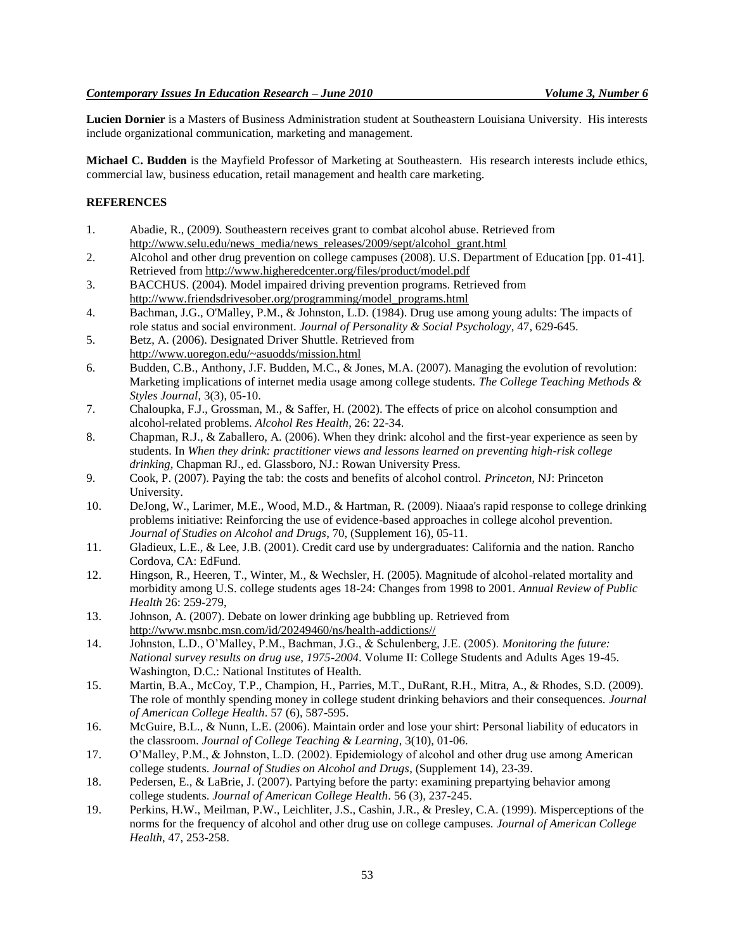**Lucien Dornier** is a Masters of Business Administration student at Southeastern Louisiana University. His interests include organizational communication, marketing and management.

**Michael C. Budden** is the Mayfield Professor of Marketing at Southeastern. His research interests include ethics, commercial law, business education, retail management and health care marketing.

# **REFERENCES**

- 1. Abadie, R., (2009). Southeastern receives grant to combat alcohol abuse. Retrieved from [http://www.selu.edu/news\\_media/news\\_releases/2009/sept/alcohol\\_grant.html](http://www.selu.edu/news_media/news_releases/2009/sept/alcohol_grant.html)
- 2. Alcohol and other drug prevention on college campuses (2008). U.S. Department of Education [pp. 01-41]. Retrieved from<http://www.higheredcenter.org/files/product/model.pdf>
- 3. BACCHUS. (2004). Model impaired driving prevention programs. Retrieved from [http://www.friendsdrivesober.org/programming/model\\_programs.html](http://www.friendsdrivesober.org/programming/model_programs.html)
- 4. Bachman, J.G., O'Malley, P.M., & Johnston, L.D. (1984). Drug use among young adults: The impacts of role status and social environment. *Journal of Personality & Social Psychology*, 47, 629-645.
- 5. Betz, A. (2006). Designated Driver Shuttle. Retrieved from <http://www.uoregon.edu/~asuodds/mission.html>
- 6. Budden, C.B., Anthony, J.F. Budden, M.C., & Jones, M.A. (2007). Managing the evolution of revolution: Marketing implications of internet media usage among college students. *The College Teaching Methods & Styles Journal*, 3(3), 05-10.
- 7. Chaloupka, F.J., Grossman, M., & Saffer, H. (2002). The effects of price on alcohol consumption and alcohol-related problems. *Alcohol Res Health*, 26: 22-34.
- 8. Chapman, R.J., & Zaballero, A. (2006). When they drink: alcohol and the first-year experience as seen by students. In *When they drink: practitioner views and lessons learned on preventing high-risk college drinking,* Chapman RJ., ed. Glassboro, NJ.: Rowan University Press.
- 9. Cook, P. (2007). Paying the tab: the costs and benefits of alcohol control. *Princeton*, NJ: Princeton University.
- 10. DeJong, W., Larimer, M.E., Wood, M.D., & Hartman, R. (2009). Niaaa's rapid response to college drinking problems initiative: Reinforcing the use of evidence-based approaches in college alcohol prevention. *Journal of Studies on Alcohol and Drugs*, 70, (Supplement 16), 05-11.
- 11. Gladieux, L.E., & Lee, J.B. (2001). Credit card use by undergraduates: California and the nation. Rancho Cordova, CA: EdFund.
- 12. Hingson, R., Heeren, T., Winter, M., & Wechsler, H. (2005). Magnitude of alcohol-related mortality and morbidity among U.S. college students ages 18-24: Changes from 1998 to 2001. *Annual Review of Public Health* 26: 259-279,
- 13. Johnson, A. (2007). Debate on lower drinking age bubbling up. Retrieved from http://www.msnbc.msn.com/id/20249460/ns/health-addictions//
- 14. Johnston, L.D., O"Malley, P.M., Bachman, J.G., & Schulenberg, J.E. (2005). *Monitoring the future: National survey results on drug use, 1975-2004*. Volume II: College Students and Adults Ages 19-45. Washington, D.C.: National Institutes of Health.
- 15. Martin, B.A., McCoy, T.P., Champion, H., Parries, M.T., DuRant, R.H., Mitra, A., & Rhodes, S.D. (2009). The role of monthly spending money in college student drinking behaviors and their consequences. *Journal of American College Health*. 57 (6), 587-595.
- 16. McGuire, B.L., & Nunn, L.E. (2006). Maintain order and lose your shirt: Personal liability of educators in the classroom. *Journal of College Teaching & Learning*, 3(10), 01-06.
- 17. O"Malley, P.M., & Johnston, L.D. (2002). Epidemiology of alcohol and other drug use among American college students. *Journal of Studies on Alcohol and Drugs*, (Supplement 14), 23-39.
- 18. Pedersen, E., & LaBrie, J. (2007). Partying before the party: examining prepartying behavior among college students. *Journal of American College Health*. 56 (3), 237-245.
- 19. Perkins, H.W., Meilman, P.W., Leichliter, J.S., Cashin, J.R., & Presley, C.A. (1999). Misperceptions of the norms for the frequency of alcohol and other drug use on college campuses. *Journal of American College Health*, 47, 253-258.